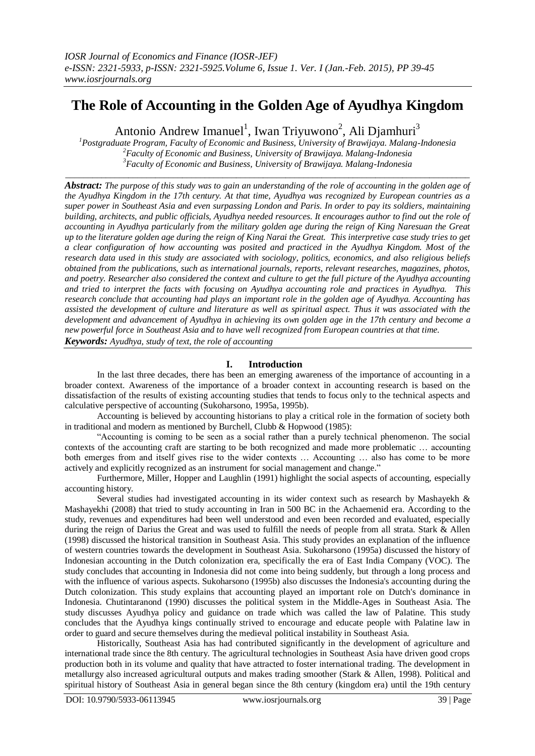# **The Role of Accounting in the Golden Age of Ayudhya Kingdom**

Antonio Andrew Imanuel<sup>1</sup>, Iwan Triyuwono<sup>2</sup>, Ali Djamhuri<sup>3</sup>

*<sup>1</sup>Postgraduate Program, Faculty of Economic and Business, University of Brawijaya. Malang-Indonesia <sup>2</sup>Faculty of Economic and Business, University of Brawijaya. Malang-Indonesia <sup>3</sup>Faculty of Economic and Business, University of Brawijaya. Malang-Indonesia*

 $\_$  ,  $\_$  ,  $\_$  ,  $\_$  ,  $\_$  ,  $\_$  ,  $\_$  ,  $\_$  ,  $\_$  ,  $\_$  ,  $\_$  ,  $\_$  ,  $\_$  ,  $\_$  ,  $\_$  ,  $\_$  ,  $\_$  ,  $\_$  ,  $\_$  ,  $\_$  ,  $\_$  ,  $\_$  ,  $\_$  ,  $\_$  ,  $\_$  ,  $\_$  ,  $\_$  ,  $\_$  ,  $\_$  ,  $\_$  ,  $\_$  ,  $\_$  ,  $\_$  ,  $\_$  ,  $\_$  ,  $\_$  ,  $\_$  ,

*Abstract: The purpose of this study was to gain an understanding of the role of accounting in the golden age of the Ayudhya Kingdom in the 17th century. At that time, Ayudhya was recognized by European countries as a super power in Southeast Asia and even surpassing London and Paris. In order to pay its soldiers, maintaining building, architects, and public officials, Ayudhya needed resources. It encourages author to find out the role of accounting in Ayudhya particularly from the military golden age during the reign of King Naresuan the Great up to the literature golden age during the reign of King Narai the Great. This interpretive case study tries to get a clear configuration of how accounting was posited and practiced in the Ayudhya Kingdom. Most of the research data used in this study are associated with sociology, politics, economics, and also religious beliefs obtained from the publications, such as international journals, reports, relevant researches, magazines, photos, and poetry. Researcher also considered the context and culture to get the full picture of the Ayudhya accounting and tried to interpret the facts with focusing on Ayudhya accounting role and practices in Ayudhya. This research conclude that accounting had plays an important role in the golden age of Ayudhya. Accounting has assisted the development of culture and literature as well as spiritual aspect. Thus it was associated with the development and advancement of Ayudhya in achieving its own golden age in the 17th century and become a new powerful force in Southeast Asia and to have well recognized from European countries at that time.*

*Keywords: Ayudhya, study of text, the role of accounting*

# **I. Introduction**

In the last three decades, there has been an emerging awareness of the importance of accounting in a broader context. Awareness of the importance of a broader context in accounting research is based on the dissatisfaction of the results of existing accounting studies that tends to focus only to the technical aspects and calculative perspective of accounting (Sukoharsono, 1995a, 1995b).

Accounting is believed by accounting historians to play a critical role in the formation of society both in traditional and modern as mentioned by Burchell, Clubb & Hopwood (1985):

"Accounting is coming to be seen as a social rather than a purely technical phenomenon. The social contexts of the accounting craft are starting to be both recognized and made more problematic … accounting both emerges from and itself gives rise to the wider contexts … Accounting … also has come to be more actively and explicitly recognized as an instrument for social management and change."

Furthermore, Miller, Hopper and Laughlin (1991) highlight the social aspects of accounting, especially accounting history.

Several studies had investigated accounting in its wider context such as research by Mashayekh & Mashayekhi (2008) that tried to study accounting in Iran in 500 BC in the Achaemenid era. According to the study, revenues and expenditures had been well understood and even been recorded and evaluated, especially during the reign of Darius the Great and was used to fulfill the needs of people from all strata. Stark & Allen (1998) discussed the historical transition in Southeast Asia. This study provides an explanation of the influence of western countries towards the development in Southeast Asia. Sukoharsono (1995a) discussed the history of Indonesian accounting in the Dutch colonization era, specifically the era of East India Company (VOC). The study concludes that accounting in Indonesia did not come into being suddenly, but through a long process and with the influence of various aspects. Sukoharsono (1995b) also discusses the Indonesia's accounting during the Dutch colonization. This study explains that accounting played an important role on Dutch's dominance in Indonesia. Chutintaranond (1990) discusses the political system in the Middle-Ages in Southeast Asia. The study discusses Ayudhya policy and guidance on trade which was called the law of Palatine. This study concludes that the Ayudhya kings continually strived to encourage and educate people with Palatine law in order to guard and secure themselves during the medieval political instability in Southeast Asia.

Historically, Southeast Asia has had contributed significantly in the development of agriculture and international trade since the 8th century. The agricultural technologies in Southeast Asia have driven good crops production both in its volume and quality that have attracted to foster international trading. The development in metallurgy also increased agricultural outputs and makes trading smoother (Stark & Allen, 1998). Political and spiritual history of Southeast Asia in general began since the 8th century (kingdom era) until the 19th century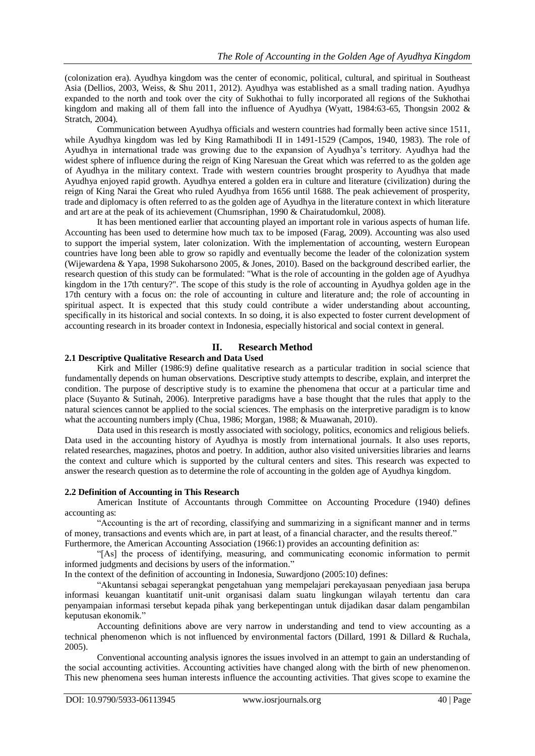(colonization era). Ayudhya kingdom was the center of economic, political, cultural, and spiritual in Southeast Asia (Dellios, 2003, Weiss, & Shu 2011, 2012). Ayudhya was established as a small trading nation. Ayudhya expanded to the north and took over the city of Sukhothai to fully incorporated all regions of the Sukhothai kingdom and making all of them fall into the influence of Ayudhya (Wyatt, 1984:63-65, Thongsin 2002 & Stratch, 2004).

Communication between Ayudhya officials and western countries had formally been active since 1511, while Ayudhya kingdom was led by King Ramathibodi II in 1491-1529 (Campos, 1940, 1983). The role of Ayudhya in international trade was growing due to the expansion of Ayudhya"s territory. Ayudhya had the widest sphere of influence during the reign of King Naresuan the Great which was referred to as the golden age of Ayudhya in the military context. Trade with western countries brought prosperity to Ayudhya that made Ayudhya enjoyed rapid growth. Ayudhya entered a golden era in culture and literature (civilization) during the reign of King Narai the Great who ruled Ayudhya from 1656 until 1688. The peak achievement of prosperity, trade and diplomacy is often referred to as the golden age of Ayudhya in the literature context in which literature and art are at the peak of its achievement (Chumsriphan, 1990 & Chairatudomkul, 2008).

It has been mentioned earlier that accounting played an important role in various aspects of human life. Accounting has been used to determine how much tax to be imposed (Farag, 2009). Accounting was also used to support the imperial system, later colonization. With the implementation of accounting, western European countries have long been able to grow so rapidly and eventually become the leader of the colonization system (Wijewardena & Yapa, 1998 Sukoharsono 2005, & Jones, 2010). Based on the background described earlier, the research question of this study can be formulated: "What is the role of accounting in the golden age of Ayudhya kingdom in the 17th century?". The scope of this study is the role of accounting in Ayudhya golden age in the 17th century with a focus on: the role of accounting in culture and literature and; the role of accounting in spiritual aspect. It is expected that this study could contribute a wider understanding about accounting, specifically in its historical and social contexts. In so doing, it is also expected to foster current development of accounting research in its broader context in Indonesia, especially historical and social context in general.

## **II. Research Method**

## **2.1 Descriptive Qualitative Research and Data Used**

Kirk and Miller (1986:9) define qualitative research as a particular tradition in social science that fundamentally depends on human observations. Descriptive study attempts to describe, explain, and interpret the condition. The purpose of descriptive study is to examine the phenomena that occur at a particular time and place (Suyanto & Sutinah, 2006). Interpretive paradigms have a base thought that the rules that apply to the natural sciences cannot be applied to the social sciences. The emphasis on the interpretive paradigm is to know what the accounting numbers imply (Chua, 1986; Morgan, 1988; & Muawanah, 2010).

Data used in this research is mostly associated with sociology, politics, economics and religious beliefs. Data used in the accounting history of Ayudhya is mostly from international journals. It also uses reports, related researches, magazines, photos and poetry. In addition, author also visited universities libraries and learns the context and culture which is supported by the cultural centers and sites. This research was expected to answer the research question as to determine the role of accounting in the golden age of Ayudhya kingdom.

## **2.2 Definition of Accounting in This Research**

American Institute of Accountants through Committee on Accounting Procedure (1940) defines accounting as:

"Accounting is the art of recording, classifying and summarizing in a significant manner and in terms of money, transactions and events which are, in part at least, of a financial character, and the results thereof." Furthermore, the American Accounting Association (1966:1) provides an accounting definition as:

"[As] the process of identifying, measuring, and communicating economic information to permit informed judgments and decisions by users of the information."

In the context of the definition of accounting in Indonesia, Suwardjono (2005:10) defines:

"Akuntansi sebagai seperangkat pengetahuan yang mempelajari perekayasaan penyediaan jasa berupa informasi keuangan kuantitatif unit-unit organisasi dalam suatu lingkungan wilayah tertentu dan cara penyampaian informasi tersebut kepada pihak yang berkepentingan untuk dijadikan dasar dalam pengambilan keputusan ekonomik."

Accounting definitions above are very narrow in understanding and tend to view accounting as a technical phenomenon which is not influenced by environmental factors (Dillard, 1991 & Dillard & Ruchala, 2005).

Conventional accounting analysis ignores the issues involved in an attempt to gain an understanding of the social accounting activities. Accounting activities have changed along with the birth of new phenomenon. This new phenomena sees human interests influence the accounting activities. That gives scope to examine the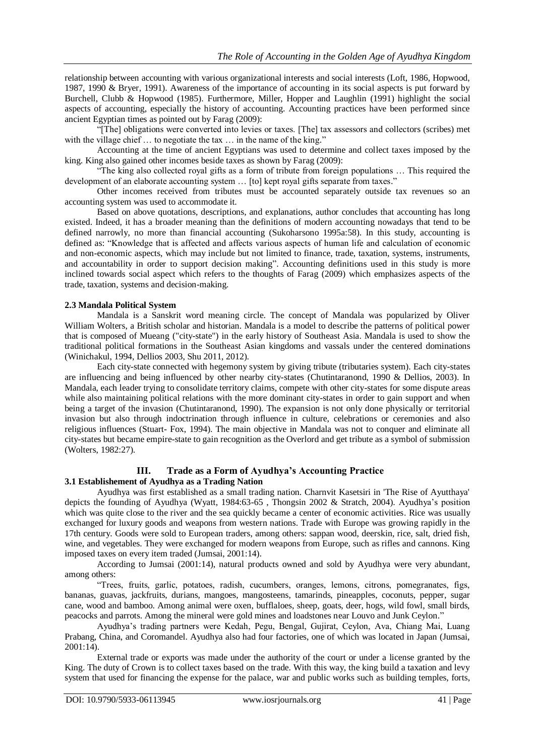relationship between accounting with various organizational interests and social interests (Loft, 1986, Hopwood, 1987, 1990 & Bryer, 1991). Awareness of the importance of accounting in its social aspects is put forward by Burchell, Clubb & Hopwood (1985). Furthermore, Miller, Hopper and Laughlin (1991) highlight the social aspects of accounting, especially the history of accounting. Accounting practices have been performed since ancient Egyptian times as pointed out by Farag (2009):

"[The] obligations were converted into levies or taxes. [The] tax assessors and collectors (scribes) met with the village chief ... to negotiate the tax ... in the name of the king."

Accounting at the time of ancient Egyptians was used to determine and collect taxes imposed by the king. King also gained other incomes beside taxes as shown by Farag (2009):

"The king also collected royal gifts as a form of tribute from foreign populations … This required the development of an elaborate accounting system … [to] kept royal gifts separate from taxes."

Other incomes received from tributes must be accounted separately outside tax revenues so an accounting system was used to accommodate it.

Based on above quotations, descriptions, and explanations, author concludes that accounting has long existed. Indeed, it has a broader meaning than the definitions of modern accounting nowadays that tend to be defined narrowly, no more than financial accounting (Sukoharsono 1995a:58). In this study, accounting is defined as: "Knowledge that is affected and affects various aspects of human life and calculation of economic and non-economic aspects, which may include but not limited to finance, trade, taxation, systems, instruments, and accountability in order to support decision making". Accounting definitions used in this study is more inclined towards social aspect which refers to the thoughts of Farag (2009) which emphasizes aspects of the trade, taxation, systems and decision-making.

## **2.3 Mandala Political System**

Mandala is a Sanskrit word meaning circle. The concept of Mandala was popularized by Oliver William Wolters, a British scholar and historian. Mandala is a model to describe the patterns of political power that is composed of Mueang ("city-state") in the early history of Southeast Asia. Mandala is used to show the traditional political formations in the Southeast Asian kingdoms and vassals under the centered dominations (Winichakul, 1994, Dellios 2003, Shu 2011, 2012).

Each city-state connected with hegemony system by giving tribute (tributaries system). Each city-states are influencing and being influenced by other nearby city-states (Chutintaranond, 1990 & Dellios, 2003). In Mandala, each leader trying to consolidate territory claims, compete with other city-states for some dispute areas while also maintaining political relations with the more dominant city-states in order to gain support and when being a target of the invasion (Chutintaranond, 1990). The expansion is not only done physically or territorial invasion but also through indoctrination through influence in culture, celebrations or ceremonies and also religious influences (Stuart- Fox, 1994). The main objective in Mandala was not to conquer and eliminate all city-states but became empire-state to gain recognition as the Overlord and get tribute as a symbol of submission (Wolters, 1982:27).

## **III. Trade as a Form of Ayudhya's Accounting Practice 3.1 Establishement of Ayudhya as a Trading Nation**

Ayudhya was first established as a small trading nation. Charnvit Kasetsiri in 'The Rise of Ayutthaya' depicts the founding of Ayudhya (Wyatt, 1984:63-65 , Thongsin 2002 & Stratch, 2004). Ayudhya"s position which was quite close to the river and the sea quickly became a center of economic activities. Rice was usually exchanged for luxury goods and weapons from western nations. Trade with Europe was growing rapidly in the 17th century. Goods were sold to European traders, among others: sappan wood, deerskin, rice, salt, dried fish, wine, and vegetables. They were exchanged for modern weapons from Europe, such as rifles and cannons. King imposed taxes on every item traded (Jumsai, 2001:14).

According to Jumsai (2001:14), natural products owned and sold by Ayudhya were very abundant, among others:

"Trees, fruits, garlic, potatoes, radish, cucumbers, oranges, lemons, citrons, pomegranates, figs, bananas, guavas, jackfruits, durians, mangoes, mangosteens, tamarinds, pineapples, coconuts, pepper, sugar cane, wood and bamboo. Among animal were oxen, bufflaloes, sheep, goats, deer, hogs, wild fowl, small birds, peacocks and parrots. Among the mineral were gold mines and loadstones near Louvo and Junk Ceylon."

Ayudhya"s trading partners were Kedah, Pegu, Bengal, Gujirat, Ceylon, Ava, Chiang Mai, Luang Prabang, China, and Coromandel. Ayudhya also had four factories, one of which was located in Japan (Jumsai, 2001:14).

External trade or exports was made under the authority of the court or under a license granted by the King. The duty of Crown is to collect taxes based on the trade. With this way, the king build a taxation and levy system that used for financing the expense for the palace, war and public works such as building temples, forts,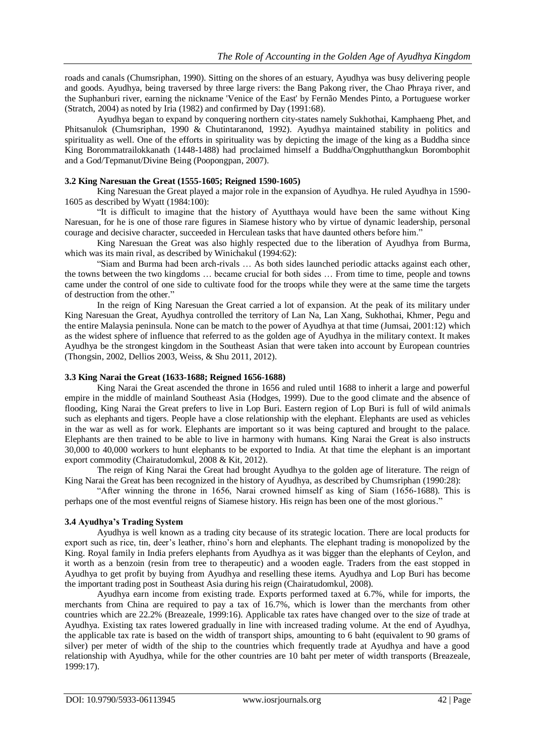roads and canals (Chumsriphan, 1990). Sitting on the shores of an estuary, Ayudhya was busy delivering people and goods. Ayudhya, being traversed by three large rivers: the Bang Pakong river, the Chao Phraya river, and the Suphanburi river, earning the nickname 'Venice of the East' by Fernão Mendes Pinto, a Portuguese worker (Stratch, 2004) as noted by Iria (1982) and confirmed by Day (1991:68).

Ayudhya began to expand by conquering northern city-states namely Sukhothai, Kamphaeng Phet, and Phitsanulok (Chumsriphan, 1990 & Chutintaranond, 1992). Ayudhya maintained stability in politics and spirituality as well. One of the efforts in spirituality was by depicting the image of the king as a Buddha since King Borommatrailokkanath (1448-1488) had proclaimed himself a Buddha/Ongphutthangkun Borombophit and a God/Tepmanut/Divine Being (Poopongpan, 2007).

## **3.2 King Naresuan the Great (1555-1605; Reigned 1590-1605)**

King Naresuan the Great played a major role in the expansion of Ayudhya. He ruled Ayudhya in 1590- 1605 as described by Wyatt (1984:100):

"It is difficult to imagine that the history of Ayutthaya would have been the same without King Naresuan, for he is one of those rare figures in Siamese history who by virtue of dynamic leadership, personal courage and decisive character, succeeded in Herculean tasks that have daunted others before him."

King Naresuan the Great was also highly respected due to the liberation of Ayudhya from Burma, which was its main rival, as described by Winichakul (1994:62):

"Siam and Burma had been arch-rivals … As both sides launched periodic attacks against each other, the towns between the two kingdoms … became crucial for both sides … From time to time, people and towns came under the control of one side to cultivate food for the troops while they were at the same time the targets of destruction from the other."

In the reign of King Naresuan the Great carried a lot of expansion. At the peak of its military under King Naresuan the Great, Ayudhya controlled the territory of Lan Na, Lan Xang, Sukhothai, Khmer, Pegu and the entire Malaysia peninsula. None can be match to the power of Ayudhya at that time (Jumsai, 2001:12) which as the widest sphere of influence that referred to as the golden age of Ayudhya in the military context. It makes Ayudhya be the strongest kingdom in the Southeast Asian that were taken into account by European countries (Thongsin, 2002, Dellios 2003, Weiss, & Shu 2011, 2012).

#### **3.3 King Narai the Great (1633-1688; Reigned 1656-1688)**

King Narai the Great ascended the throne in 1656 and ruled until 1688 to inherit a large and powerful empire in the middle of mainland Southeast Asia (Hodges, 1999). Due to the good climate and the absence of flooding, King Narai the Great prefers to live in Lop Buri. Eastern region of Lop Buri is full of wild animals such as elephants and tigers. People have a close relationship with the elephant. Elephants are used as vehicles in the war as well as for work. Elephants are important so it was being captured and brought to the palace. Elephants are then trained to be able to live in harmony with humans. King Narai the Great is also instructs 30,000 to 40,000 workers to hunt elephants to be exported to India. At that time the elephant is an important export commodity (Chairatudomkul, 2008 & Kit, 2012).

The reign of King Narai the Great had brought Ayudhya to the golden age of literature. The reign of King Narai the Great has been recognized in the history of Ayudhya, as described by Chumsriphan (1990:28):

"After winning the throne in 1656, Narai crowned himself as king of Siam (1656-1688). This is perhaps one of the most eventful reigns of Siamese history. His reign has been one of the most glorious."

## **3.4 Ayudhya's Trading System**

Ayudhya is well known as a trading city because of its strategic location. There are local products for export such as rice, tin, deer"s leather, rhino"s horn and elephants. The elephant trading is monopolized by the King. Royal family in India prefers elephants from Ayudhya as it was bigger than the elephants of Ceylon, and it worth as a benzoin (resin from tree to therapeutic) and a wooden eagle. Traders from the east stopped in Ayudhya to get profit by buying from Ayudhya and reselling these items. Ayudhya and Lop Buri has become the important trading post in Southeast Asia during his reign (Chairatudomkul, 2008).

Ayudhya earn income from existing trade. Exports performed taxed at 6.7%, while for imports, the merchants from China are required to pay a tax of 16.7%, which is lower than the merchants from other countries which are 22.2% (Breazeale, 1999:16). Applicable tax rates have changed over to the size of trade at Ayudhya. Existing tax rates lowered gradually in line with increased trading volume. At the end of Ayudhya, the applicable tax rate is based on the width of transport ships, amounting to 6 baht (equivalent to 90 grams of silver) per meter of width of the ship to the countries which frequently trade at Ayudhya and have a good relationship with Ayudhya, while for the other countries are 10 baht per meter of width transports (Breazeale, 1999:17).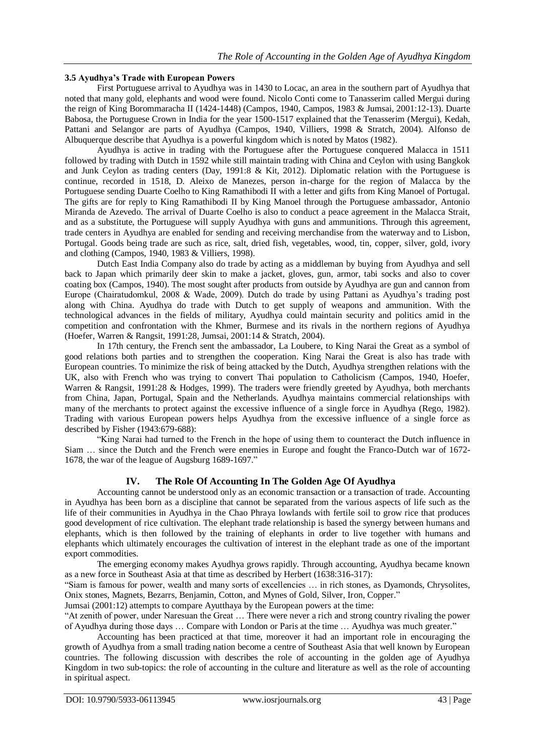## **3.5 Ayudhya's Trade with European Powers**

First Portuguese arrival to Ayudhya was in 1430 to Locac, an area in the southern part of Ayudhya that noted that many gold, elephants and wood were found. Nicolo Conti come to Tanasserim called Mergui during the reign of King Borommaracha II (1424-1448) (Campos, 1940, Campos, 1983 & Jumsai, 2001:12-13). Duarte Babosa, the Portuguese Crown in India for the year 1500-1517 explained that the Tenasserim (Mergui), Kedah, Pattani and Selangor are parts of Ayudhya (Campos, 1940, Villiers, 1998 & Stratch, 2004). Alfonso de Albuquerque describe that Ayudhya is a powerful kingdom which is noted by Matos (1982).

Ayudhya is active in trading with the Portuguese after the Portuguese conquered Malacca in 1511 followed by trading with Dutch in 1592 while still maintain trading with China and Ceylon with using Bangkok and Junk Ceylon as trading centers (Day, 1991:8 & Kit, 2012). Diplomatic relation with the Portuguese is continue, recorded in 1518, D. Aleixo de Manezes, person in-charge for the region of Malacca by the Portuguese sending Duarte Coelho to King Ramathibodi II with a letter and gifts from King Manoel of Portugal. The gifts are for reply to King Ramathibodi II by King Manoel through the Portuguese ambassador, Antonio Miranda de Azevedo. The arrival of Duarte Coelho is also to conduct a peace agreement in the Malacca Strait, and as a substitute, the Portuguese will supply Ayudhya with guns and ammunitions. Through this agreement, trade centers in Ayudhya are enabled for sending and receiving merchandise from the waterway and to Lisbon, Portugal. Goods being trade are such as rice, salt, dried fish, vegetables, wood, tin, copper, silver, gold, ivory and clothing (Campos, 1940, 1983 & Villiers, 1998).

Dutch East India Company also do trade by acting as a middleman by buying from Ayudhya and sell back to Japan which primarily deer skin to make a jacket, gloves, gun, armor, tabi socks and also to cover coating box (Campos, 1940). The most sought after products from outside by Ayudhya are gun and cannon from Europe (Chairatudomkul, 2008 & Wade, 2009). Dutch do trade by using Pattani as Ayudhya"s trading post along with China. Ayudhya do trade with Dutch to get supply of weapons and ammunition. With the technological advances in the fields of military, Ayudhya could maintain security and politics amid in the competition and confrontation with the Khmer, Burmese and its rivals in the northern regions of Ayudhya (Hoefer, Warren & Rangsit, 1991:28, Jumsai, 2001:14 & Stratch, 2004).

In 17th century, the French sent the ambassador, La Loubere, to King Narai the Great as a symbol of good relations both parties and to strengthen the cooperation. King Narai the Great is also has trade with European countries. To minimize the risk of being attacked by the Dutch, Ayudhya strengthen relations with the UK, also with French who was trying to convert Thai population to Catholicism (Campos, 1940, Hoefer, Warren & Rangsit, 1991:28 & Hodges, 1999). The traders were friendly greeted by Ayudhya, both merchants from China, Japan, Portugal, Spain and the Netherlands. Ayudhya maintains commercial relationships with many of the merchants to protect against the excessive influence of a single force in Ayudhya (Rego, 1982). Trading with various European powers helps Ayudhya from the excessive influence of a single force as described by Fisher (1943:679-688):

"King Narai had turned to the French in the hope of using them to counteract the Dutch influence in Siam … since the Dutch and the French were enemies in Europe and fought the Franco-Dutch war of 1672- 1678, the war of the league of Augsburg 1689-1697."

## **IV. The Role Of Accounting In The Golden Age Of Ayudhya**

Accounting cannot be understood only as an economic transaction or a transaction of trade. Accounting in Ayudhya has been born as a discipline that cannot be separated from the various aspects of life such as the life of their communities in Ayudhya in the Chao Phraya lowlands with fertile soil to grow rice that produces good development of rice cultivation. The elephant trade relationship is based the synergy between humans and elephants, which is then followed by the training of elephants in order to live together with humans and elephants which ultimately encourages the cultivation of interest in the elephant trade as one of the important export commodities.

The emerging economy makes Ayudhya grows rapidly. Through accounting, Ayudhya became known as a new force in Southeast Asia at that time as described by Herbert (1638:316-317):

"Siam is famous for power, wealth and many sorts of excellencies … in rich stones, as Dyamonds, Chrysolites, Onix stones, Magnets, Bezarrs, Benjamin, Cotton, and Mynes of Gold, Silver, Iron, Copper."

Jumsai (2001:12) attempts to compare Ayutthaya by the European powers at the time:

"At zenith of power, under Naresuan the Great … There were never a rich and strong country rivaling the power of Ayudhya during those days … Compare with London or Paris at the time … Ayudhya was much greater."

Accounting has been practiced at that time, moreover it had an important role in encouraging the growth of Ayudhya from a small trading nation become a centre of Southeast Asia that well known by European countries. The following discussion with describes the role of accounting in the golden age of Ayudhya Kingdom in two sub-topics: the role of accounting in the culture and literature as well as the role of accounting in spiritual aspect.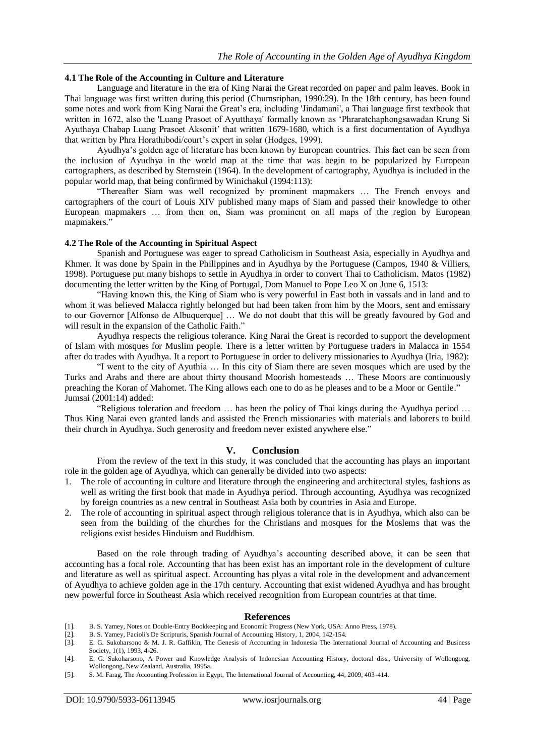## **4.1 The Role of the Accounting in Culture and Literature**

Language and literature in the era of King Narai the Great recorded on paper and palm leaves. Book in Thai language was first written during this period (Chumsriphan, 1990:29). In the 18th century, has been found some notes and work from King Narai the Great"s era, including 'Jindamani', a Thai language first textbook that written in 1672, also the 'Luang Prasoet of Ayutthaya' formally known as "Phraratchaphongsawadan Krung Si Ayuthaya Chabap Luang Prasoet Aksonit" that written 1679-1680, which is a first documentation of Ayudhya that written by Phra Horathibodi/court's expert in solar (Hodges, 1999).

Ayudhya"s golden age of literature has been known by European countries. This fact can be seen from the inclusion of Ayudhya in the world map at the time that was begin to be popularized by European cartographers, as described by Sternstein (1964). In the development of cartography, Ayudhya is included in the popular world map, that being confirmed by Winichakul (1994:113):

"Thereafter Siam was well recognized by prominent mapmakers … The French envoys and cartographers of the court of Louis XIV published many maps of Siam and passed their knowledge to other European mapmakers … from then on, Siam was prominent on all maps of the region by European mapmakers."

#### **4.2 The Role of the Accounting in Spiritual Aspect**

Spanish and Portuguese was eager to spread Catholicism in Southeast Asia, especially in Ayudhya and Khmer. It was done by Spain in the Philippines and in Ayudhya by the Portuguese (Campos, 1940 & Villiers, 1998). Portuguese put many bishops to settle in Ayudhya in order to convert Thai to Catholicism. Matos (1982) documenting the letter written by the King of Portugal, Dom Manuel to Pope Leo X on June 6, 1513:

"Having known this, the King of Siam who is very powerful in East both in vassals and in land and to whom it was believed Malacca rightly belonged but had been taken from him by the Moors, sent and emissary to our Governor [Alfonso de Albuquerque] … We do not doubt that this will be greatly favoured by God and will result in the expansion of the Catholic Faith."

Ayudhya respects the religious tolerance. King Narai the Great is recorded to support the development of Islam with mosques for Muslim people. There is a letter written by Portuguese traders in Malacca in 1554 after do trades with Ayudhya. It a report to Portuguese in order to delivery missionaries to Ayudhya (Iria, 1982):

"I went to the city of Ayuthia … In this city of Siam there are seven mosques which are used by the Turks and Arabs and there are about thirty thousand Moorish homesteads … These Moors are continuously preaching the Koran of Mahomet. The King allows each one to do as he pleases and to be a Moor or Gentile." Jumsai (2001:14) added:

"Religious toleration and freedom … has been the policy of Thai kings during the Ayudhya period … Thus King Narai even granted lands and assisted the French missionaries with materials and laborers to build their church in Ayudhya. Such generosity and freedom never existed anywhere else."

## **V. Conclusion**

From the review of the text in this study, it was concluded that the accounting has plays an important role in the golden age of Ayudhya, which can generally be divided into two aspects:

- 1. The role of accounting in culture and literature through the engineering and architectural styles, fashions as well as writing the first book that made in Ayudhya period. Through accounting, Ayudhya was recognized by foreign countries as a new central in Southeast Asia both by countries in Asia and Europe.
- 2. The role of accounting in spiritual aspect through religious tolerance that is in Ayudhya, which also can be seen from the building of the churches for the Christians and mosques for the Moslems that was the religions exist besides Hinduism and Buddhism.

Based on the role through trading of Ayudhya"s accounting described above, it can be seen that accounting has a focal role. Accounting that has been exist has an important role in the development of culture and literature as well as spiritual aspect. Accounting has plyas a vital role in the development and advancement of Ayudhya to achieve golden age in the 17th century. Accounting that exist widened Ayudhya and has brought new powerful force in Southeast Asia which received recognition from European countries at that time.

#### **References**

- [1]. B. S. Yamey, Notes on Double-Entry Bookkeeping and Economic Progress (New York, USA: Anno Press, 1978).
- [2]. B. S. Yamey, Pacioli's De Scripturis, Spanish Journal of Accounting History, 1, 2004, 142-154.
- [3]. E. G. Sukoharsono & M. J. R. Gaffikin, The Genesis of Accounting in Indonesia The International Journal of Accounting and Business Society, 1(1), 1993, 4-26.
- [4]. E. G. Sukoharsono, A Power and Knowledge Analysis of Indonesian Accounting History, doctoral diss., University of Wollongong, Wollongong, New Zealand, Australia, 1995a.
- [5]. S. M. Farag, The Accounting Profession in Egypt, The International Journal of Accounting, 44, 2009, 403-414.